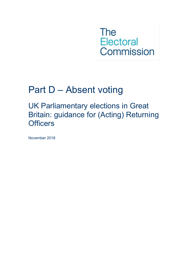**The Electoral** Commission

# Part D – Absent voting

UK Parliamentary elections in Great Britain: guidance for (Acting) Returning **Officers** 

November 2018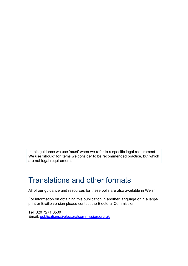In this guidance we use 'must' when we refer to a specific legal requirement. We use 'should' for items we consider to be recommended practice, but which are not legal requirements.

## Translations and other formats

All of our guidance and resources for these polls are also available in Welsh.

For information on obtaining this publication in another language or in a largeprint or Braille version please contact the Electoral Commission:

Tel: 020 7271 0500 Email: [publications@electoralcommission.org.uk](mailto:publications@electoralcommission.org.uk)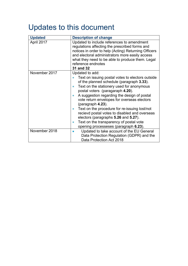## Updates to this document

| <b>Updated</b> | <b>Description of change</b>                                                                                                                                                                                                                                                                                                                                                                                                                                                                                                                                                 |
|----------------|------------------------------------------------------------------------------------------------------------------------------------------------------------------------------------------------------------------------------------------------------------------------------------------------------------------------------------------------------------------------------------------------------------------------------------------------------------------------------------------------------------------------------------------------------------------------------|
| April 2017     | Updated to include references to amendment<br>regulations affecting the prescribed forms and<br>notices in order to help (Acting) Returning Officers<br>and electoral administrators more easily access<br>what they need to be able to produce them. Legal<br>reference endnotes<br>31 and 32                                                                                                                                                                                                                                                                               |
| November 2017  | Updated to add:<br>Text on issuing postal votes to electors outside<br>of the planned schedule (paragraph 3.33).<br>Text on the stationery used for anonymous<br>postal voters (paragaraph 4.20).<br>A suggestion regarding the design of postal<br>$\bullet$<br>vote return envelopes for overseas electors<br>(paragraph 4.23).<br>Text on the procedure for re-issuing lost/not<br>$\bullet$<br>recievd postal votes to disabled and overseas<br>electors (paragraphs 5.26 and 5.27).<br>Text on the transparency of postal vote<br>opening processeses (paragraph 6.23). |
| November 2018  | Updated to take account of the EU General<br>Data Protection Regulation (GDPR) and the<br>Data Protection Act 2018                                                                                                                                                                                                                                                                                                                                                                                                                                                           |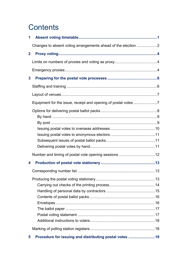## **Contents**

| 1            |                                                               |  |
|--------------|---------------------------------------------------------------|--|
|              | Changes to absent voting arrangements ahead of the election 2 |  |
| $\mathbf{2}$ |                                                               |  |
|              |                                                               |  |
|              |                                                               |  |
| $\mathbf{3}$ |                                                               |  |
|              |                                                               |  |
|              |                                                               |  |
|              |                                                               |  |
|              |                                                               |  |
|              |                                                               |  |
|              |                                                               |  |
|              |                                                               |  |
|              |                                                               |  |
|              |                                                               |  |
|              |                                                               |  |
|              |                                                               |  |
| 4            |                                                               |  |
|              |                                                               |  |
|              |                                                               |  |
|              |                                                               |  |
|              |                                                               |  |
|              |                                                               |  |
|              |                                                               |  |
|              |                                                               |  |
|              |                                                               |  |
|              |                                                               |  |
|              |                                                               |  |
| 5            | Procedure for issuing and distributing postal votes 19        |  |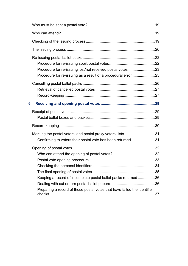| 6 |                                                                                                                           |  |
|---|---------------------------------------------------------------------------------------------------------------------------|--|
|   |                                                                                                                           |  |
|   |                                                                                                                           |  |
|   | Marking the postal voters' and postal proxy voters' lists31<br>Confirming to voters their postal vote has been returned31 |  |
|   |                                                                                                                           |  |
|   |                                                                                                                           |  |
|   | Keeping a record of incomplete postal ballot packs returned 36                                                            |  |
|   | Preparing a record of those postal votes that have failed the identifier                                                  |  |
|   |                                                                                                                           |  |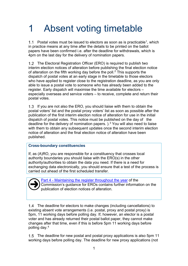# <span id="page-5-0"></span>1 Absent voting timetable

[1](#page-9-0).1 Postal votes must be issued to electors as soon as is practicable<sup>1</sup>, which in practice means at any time after the details to be printed on the ballot papers have been confirmed i.e. after the deadline for withdrawals, which is 4pm on the last day for the delivery of nomination papers.

1.2 The Electoral Registration Officer (ERO) is required to publish two interim election notices of alteration before publishing the final election notice of alteration on the fifth working day before the poll.<sup>[2](#page-9-1)</sup> This supports the dispatch of postal votes at an early stage in the timetable to those electors who have applied to register close to the registration deadline, as you are only able to issue a postal vote to someone who has already been added to the register. Early dispatch will maximise the time available for electors – especially overseas and service voters – to receive, complete and return their postal votes.

1.3 If you are not also the ERO, you should liaise with them to obtain the postal voters' list and the postal proxy voters' list as soon as possible after the publication of the first interim election notice of alteration for use in the initial dispatch of postal votes. This notice must be published on the day of the deadline for the delivery of nomination papers.  $)$ .<sup>[3](#page-9-2)</sup> You will also need to liaise with them to obtain any subsequent updates once the second interim election notice of alteration and the final election notice of alteration have been published.

#### **Cross-boundary constituencies**

If, as (A)RO, you are responsible for a constituency that crosses local authority boundaries you should liaise with the ERO(s) in the other authority/authorities to obtain the data you need. If there is a need for exchanging data electronically, you should ensure that a test of the process is carried out ahead of the first scheduled transfer.



Part 4 - [Maintaining the register throughout the year](http://www.electoralcommission.org.uk/__data/assets/pdf_file/0011/162578/Part-4-Maintaining-the-register-throughout-the-year.pdf) of the Commission's guidance for EROs contains further information on the publication of election notices of alteration.

The deadline for electors to make changes (including cancellations) to existing absent vote arrangements (i.e. postal, proxy and postal proxy) is 5pm, 11 working days before polling day. If, however, an elector is a postal voter and has already returned their postal ballot paper, they cannot make changes after that time, even if this is before 5pm 11 working days before polling day.[4](#page-9-3)

The deadline for new postal and postal proxy applications is also 5pm 11 working days before polling day. The deadline for new proxy applications (not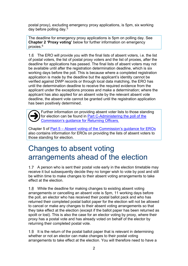postal proxy), excluding emergency proxy applications, is 5pm, six working day before polling day. [5](#page-9-4)

The deadline for emergency proxy applications is 5pm on polling day. See **Chapter [2](#page-8-0) ['Proxy voting'](#page-8-0)** below for further information on emergency proxies.[6](#page-9-5)

1.6 The ERO will provide you with the final lists of absent voters, i.e. the list of postal voters, the list of postal proxy voters and the list of proxies, after the deadline for applications has passed. The final lists of absent voters may not be available until after the registration determination deadline, which is six working days before the poll. This is because where a completed registration application is made by the deadline but the applicant's identity cannot be verified against DWP records or through local data matching, the ERO has until the determination deadline to receive the required evidence from the applicant under the exceptions process and make a determination; where the applicant has also applied for an absent vote by the relevant absent vote deadline, the absent vote cannot be granted until the registration application has been positively determined.

Further information on providing absent voter lists to those standing for election can be found in [Part C-Administering the poll of the](http://www.electoralcommission.org.uk/__data/assets/pdf_file/0015/141720/LGEW-MAY-RO-Part-C-Administering-the-poll.pdf)  [Commission's guidance for Returning Officers.](http://www.electoralcommission.org.uk/__data/assets/pdf_file/0015/141720/LGEW-MAY-RO-Part-C-Administering-the-poll.pdf)  $\overline{\bigodot}$ 

Chapter 5 of **Part 5** – [Absent voting of the Commission's guidance for EROs](http://www.electoralcommission.org.uk/__data/assets/pdf_file/0004/162580/Part-5-Absent-voting.pdf) also contains information for EROs on providing the lists of absent voters to those standing for election.

## <span id="page-6-0"></span>Changes to absent voting arrangements ahead of the election

1.7 A person who is sent their postal vote early in the election timetable may receive it but subsequently decide they no longer wish to vote by post and still be within time to make changes to their absent voting arrangements to take effect at the election.

While the deadline for making changes to existing absent voting arrangements or cancelling an absent vote is 5pm, 11 working days before the poll, an elector who has received their postal ballot pack and who has returned their completed postal ballot paper for the election will not be allowed to cancel or make any changes to their absent voting arrangements so that they take effect at the election (except if the ballot paper has been returned as spoilt or lost). This is also the case for an elector voting by proxy, where their proxy has a postal vote and has already voted on behalf of the elector by returning their completed postal vote.

1.9 It is the return of the postal ballot paper that is relevant in determining whether or not an elector can make changes to their postal voting arrangements to take effect at the election. You will therefore need to have a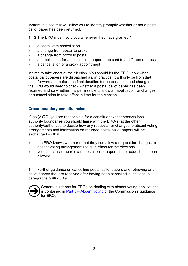system in place that will allow you to identify promptly whether or not a postal ballot paper has been returned.

1.10 The ERO must notify you whenever they have granted: $7$ 

- a postal vote cancellation
- a change from postal to proxy
- a change from proxy to postal
- an application for a postal ballot paper to be sent to a different address
- a cancellation of a proxy appointment

in time to take effect at the election. You should let the ERO know when postal ballot papers are dispatched as, in practice, it will only be from that point forward and before the final deadline for cancellations and changes that the ERO would need to check whether a postal ballot paper has been returned and so whether it is permissible to allow an application for changes or a cancellation to take effect in time for the election.

#### **Cross-boundary constituencies**

If, as (A)RO, you are responsible for a constituency that crosses local authority boundaries you should liaise with the ERO(s) at the other authority/authorities to decide how any requests for changes to absent voting arrangements and information on returned postal ballot papers will be exchanged so that:

- the ERO knows whether or not they can allow a request for changes to absent voting arrangements to take effect for the elections
- you can cancel the relevant postal ballot papers if the request has been allowed

1.11 Further guidance on cancelling postal ballot papers and retrieving any ballot papers that are received after having been cancelled is included in paragraphs **[5.46](#page-30-1) - [5.49](#page-31-2)**.



General guidance for EROs on dealing with absent voting applications is contained in  $Part 5 - Absent voting$  $Part 5 - Absent voting$  $Part 5 - Absent voting$  of the Commission's guidance for EROs.</u>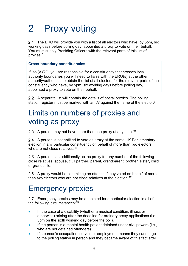# <span id="page-8-0"></span>2 Proxy voting

2.1 The ERO will provide you with a list of all electors who have, by 5pm, six working days before polling day, appointed a proxy to vote on their behalf. You must supply Presiding Officers with the relevant parts of this list of proxies.[8](#page-9-7)

#### **Cross-boundary constituencies**

If, as (A)RO, you are responsible for a constituency that crosses local authority boundaries you will need to liaise with the ERO(s) at the other authority/authorities to obtain the list of all electors for the relevant parts of the constituency who have, by 5pm, six working days before polling day, appointed a proxy to vote on their behalf.

A separate list will contain the details of postal proxies. The polling station register must be marked with an 'A' against the name of the elector.<sup>[9](#page-9-8)</sup>

## <span id="page-8-1"></span>Limits on numbers of proxies and voting as proxy

2.3 A person may not have more than one proxy at any time.<sup>[10](#page-9-9)</sup>

2.4 A person is not entitled to vote as proxy at the same UK Parliamentary election in any particular constituency on behalf of more than two electors who are not close relatives.<sup>[11](#page-9-10)</sup>

2.5 A person can additionally act as proxy for any number of the following close relatives: spouse, civil partner, parent, grandparent, brother, sister, child or grandchild.

2.6 A proxy would be committing an offence if they voted on behalf of more than two electors who are not close relatives at the election.<sup>[12](#page-9-11)</sup>

## <span id="page-8-2"></span>Emergency proxies

2.7 Emergency proxies may be appointed for a particular election in all of the following circumstances:  $13$ 

- In the case of a disability (whether a medical condition, illness or otherwise) arising after the deadline for ordinary proxy applications (i.e. 5pm on the sixth working day before the poll).
- If the person is a mental health patient detained under civil powers (i.e., who are not detained offenders).
- If a person's occupation, service or employment means they cannot go to the polling station in person and they became aware of this fact after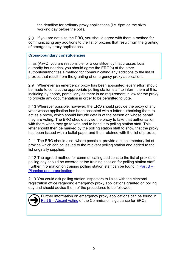the deadline for ordinary proxy applications (i.e. 5pm on the sixth working day before the poll).

<span id="page-9-2"></span><span id="page-9-1"></span><span id="page-9-0"></span>2.8 If you are not also the ERO, you should agree with them a method for communicating any additions to the list of proxies that result from the granting of emergency proxy applications.

#### <span id="page-9-4"></span><span id="page-9-3"></span>**Cross-boundary constituencies**

<span id="page-9-9"></span><span id="page-9-8"></span><span id="page-9-7"></span><span id="page-9-6"></span><span id="page-9-5"></span>If, as (A)RO, you are responsible for a constituency that crosses local authority boundaries, you should agree the ERO(s) at the other authority/authorities a method for communicating any additions to the list of proxies that result from the granting of emergency proxy applications.

<span id="page-9-15"></span><span id="page-9-14"></span><span id="page-9-13"></span><span id="page-9-12"></span><span id="page-9-11"></span><span id="page-9-10"></span>Whenever an emergency proxy has been appointed, every effort should be made to contact the appropriate polling station staff to inform them of this, including by phone, particularly as there is no requirement in law for the proxy to provide any documentation in order to be permitted to vote.

<span id="page-9-22"></span><span id="page-9-21"></span><span id="page-9-20"></span><span id="page-9-19"></span><span id="page-9-18"></span><span id="page-9-17"></span><span id="page-9-16"></span>2.10 Wherever possible, however, the ERO should provide the proxy of any voter whose application has been accepted with a letter authorising them to act as a proxy, which should include details of the person on whose behalf they are voting. The ERO should advise the proxy to take that authorisation with them when they go to vote and to hand it to polling station staff. This letter should then be marked by the polling station staff to show that the proxy has been issued with a ballot paper and then retained with the list of proxies.

<span id="page-9-29"></span><span id="page-9-28"></span><span id="page-9-27"></span><span id="page-9-26"></span><span id="page-9-25"></span><span id="page-9-24"></span><span id="page-9-23"></span>2.11 The ERO should also, where possible, provide a supplementary list of proxies which can be issued to the relevant polling station and added to the list originally supplied.

<span id="page-9-31"></span><span id="page-9-30"></span>2.12 The agreed method for communicating additions to the list of proxies on polling day should be covered at the training session for polling station staff. Further information on training polling station staff can be found in [Part B –](http://www.electoralcommission.org.uk/__data/assets/pdf_file/0008/175373/UKPE-Part-B-Planning-and-organisation.pdf) [Planning and organisation.](http://www.electoralcommission.org.uk/__data/assets/pdf_file/0008/175373/UKPE-Part-B-Planning-and-organisation.pdf)

<span id="page-9-39"></span><span id="page-9-38"></span><span id="page-9-37"></span><span id="page-9-36"></span><span id="page-9-35"></span><span id="page-9-34"></span><span id="page-9-33"></span><span id="page-9-32"></span>2.13 You could ask polling station inspectors to liaise with the electoral registration office regarding emergency proxy applications granted on polling day and should advise them of the procedures to be followed.

<span id="page-9-48"></span><span id="page-9-47"></span><span id="page-9-46"></span><span id="page-9-45"></span><span id="page-9-44"></span><span id="page-9-43"></span><span id="page-9-42"></span><span id="page-9-41"></span><span id="page-9-40"></span>Further information on emergency proxy applications can be found in Part 5 – [Absent voting](https://www.electoralcommission.org.uk/__data/assets/pdf_file/0004/162580/Part-5-Absent-voting.pdf) of the Commission's guidance for EROs.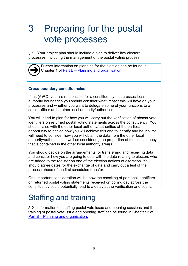# <span id="page-10-3"></span><span id="page-10-2"></span><span id="page-10-0"></span>3 Preparing for the postal vote processes

<span id="page-10-8"></span><span id="page-10-7"></span><span id="page-10-6"></span><span id="page-10-5"></span><span id="page-10-4"></span>Your project plan should include a plan to deliver key electoral processes, including the management of the postal voting process.

<span id="page-10-13"></span><span id="page-10-12"></span><span id="page-10-11"></span><span id="page-10-10"></span><span id="page-10-9"></span>

Further information on planning for the election can be found in Chapter 1 of Part B – [Planning and organisation.](http://www.electoralcommission.org.uk/__data/assets/pdf_file/0008/175373/UKPE-Part-B-Planning-and-organisation.pdf)

#### <span id="page-10-17"></span><span id="page-10-16"></span><span id="page-10-15"></span><span id="page-10-14"></span>**Cross-boundary constituencies**

<span id="page-10-19"></span><span id="page-10-18"></span>If, as (A)RO, you are responsible for a constituency that crosses local authority boundaries you should consider what impact this will have on your processes and whether you want to delegate some of your functions to a senior officer at the other local authority/authorities.

You will need to plan for how you will carry out the verification of absent vote identifiers on returned postal voting statements across the constituency. You should liaise with the other local authority/authorities at the earliest opportunity to decide how you will achieve this and to identify any issues. You will need to consider how you will obtain the data from the other local authority/authorities as well as considering the proportion of the constituency that is contained in the other local authority area(s).

You should decide on the arrangements for transferring and receiving data and consider how you are going to deal with the data relating to electors who are added to the register on one of the election notices of alteration. You should agree dates for the exchange of data and carry out a test of the process ahead of the first scheduled transfer.

One important consideration will be how the checking of personal identifiers on returned postal voting statements received on polling day across the constituency could potentially lead to a delay at the verification and count.

## <span id="page-10-1"></span>Staffing and training

Information on staffing postal vote issue and opening sessions and the training of postal vote issue and opening staff can be found in Chapter 2 of Part B – [Planning and organisation.](http://www.electoralcommission.org.uk/__data/assets/pdf_file/0008/175373/UKPE-Part-B-Planning-and-organisation.pdf)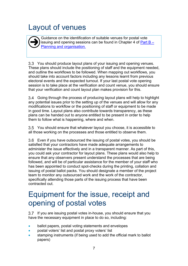# <span id="page-11-0"></span>Layout of venues  $\overline{\bigodot}$

Guidance on the identification of suitable venues for postal vote issuing and opening sessions can be found in Chapter 4 of Part  $B -$ [Planning and organisation.](http://www.electoralcommission.org.uk/__data/assets/pdf_file/0008/175373/UKPE-Part-B-Planning-and-organisation.pdf)

3.3 You should produce layout plans of your issuing and opening venues. These plans should include the positioning of staff and the equipment needed, and outline the workflows to be followed. When mapping out workflows, you should take into account factors including any lessons learnt from previous electoral events and the expected turnout. If your last postal vote opening session is to take place at the verification and count venue, you should ensure that your verification and count layout plan makes provision for this.

Going through the process of producing layout plans will help to highlight any potential issues prior to the setting up of the venues and will allow for any modifications to workflow or the positioning of staff or equipment to be made in good time. Layout plans also contribute towards transparency, as these plans can be handed out to anyone entitled to be present in order to help them to follow what is happening, where and when.

You should ensure that whatever layout you choose, it is accessible to all those working on the processes and those entitled to observe them.

Even if you have outsourced the issuing of postal votes, you should be satisfied that your contractors have made adequate arrangements to administer the issue effectively and in a transparent manner. As part of this, you could ask your contractor for layout plans. These plans would also help to ensure that any observers present understand the processes that are being followed, and will be of particular assistance for the member of your staff who has been appointed to conduct spot-checks during the printing, collation and issuing of postal ballot packs. You should designate a member of the project team to monitor any outsourced work and the work of the contractor, specifically attending those parts of the issuing process that have been contracted out.

## <span id="page-11-1"></span>Equipment for the issue, receipt and opening of postal votes

3.7 If you are issuing postal votes in-house, you should ensure that you have the necessary equipment in place to do so, including:

- ballot papers, postal voting statements and envelopes
- postal voters' list and postal proxy voters' list
- stamping instruments (if being used to add the official mark to ballot papers)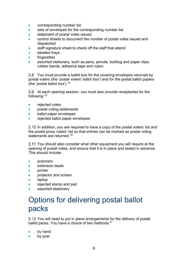- corresponding number list
- sets of envelopes for the corresponding number list
- statement of postal votes issued
- control sheets to document the number of postal votes issued and dispatched
- staff signature sheet to check off the staff that attend
- labelled trays
- fingerettes
- assorted stationery, such as pens, pencils, bulldog and paper clips, rubber bands, adhesive tape and rulers

3.8 You must provide a ballot box for the covering envelopes returned by postal voters (the 'postal voters' ballot box') and for the postal ballot papers (the 'postal ballot box').  $14$ 

3.9 At each opening session, you must also provide receptacles for the following:[15](#page-9-14)

- rejected votes
- postal voting statements
- ballot paper envelopes
- rejected ballot paper envelopes

3.10 In addition, you are required to have a copy of the postal voters' list and the postal proxy voters' list so that entries can be marked as postal voting statements are returned.[16](#page-9-15)

3.11 You should also consider what other equipment you will require at the opening of postal votes, and ensure that it is in place and tested in advance. This should include:

- scanners
- extension leads
- printer
- projector and screen
- laptop
- rejected stamp and pad
- assorted stationery

## <span id="page-12-0"></span>Options for delivering postal ballot packs

3.12 You will need to put in place arrangements for the delivery of postal ballot packs. You have a choice of two methods:<sup>[17](#page-9-16)</sup>

- by hand
- by post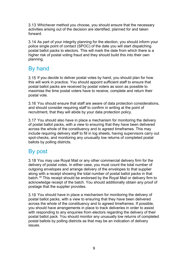Whichever method you choose, you should ensure that the necessary activities arising out of the decision are identified, planned for and taken forward.

3.14 As part of your integrity planning for the election, you should inform your police single point of contact (SPOC) of the date you will start dispatching postal ballot packs to electors. This will mark the date from which there is a higher risk of postal voting fraud and they should build this into their own planning.

## <span id="page-13-0"></span>By hand

3.15 If you decide to deliver postal votes by hand, you should plan for how this will work in practice. You should appoint sufficient staff to ensure that postal ballot packs are received by postal voters as soon as possible to maximise the time postal voters have to receive, complete and return their postal vote.

3.16 You should ensure that staff are aware of data protection considerations, and should consider requiring staff to confirm in writing at the point of recruitment, that they will abide by your data protection policy.

3.17 You should also have in place a mechanism for monitoring the delivery of postal ballot packs, with a view to ensuring that they have been delivered across the whole of the constituency and to agreed timeframes. This may include requiring delivery staff to fill in log sheets, having supervisors carry out spot-checks, and monitoring any unusually low returns of completed postal ballots by polling districts.

### <span id="page-13-1"></span>By post

3.18 You may use Royal Mail or any other commercial delivery firm for the delivery of postal votes. In either case, you must count the total number of outgoing envelopes and arrange delivery of the envelopes to that supplier along with a receipt showing the total number of postal ballot packs in that batch.[18](#page-9-17) This receipt should be endorsed by the Royal Mail or delivery firm to acknowledge receipt of the batch. You should additionally obtain any proof of postage that the supplier provides.

3.19 You should have in place a mechanism for monitoring the delivery of postal ballot packs, with a view to ensuring that they have been delivered across the whole of the constituency and to agreed timeframes. If possible, you should have arrangements in place to track deliveries in order to assist with responding to any enquiries from electors regarding the delivery of their postal ballot pack. You should monitor any unusually low returns of completed postal ballots by polling districts as that may be an indication of delivery issues.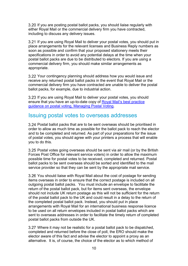3.20 If you are posting postal ballot packs, you should liaise regularly with either Royal Mail or the commercial delivery firm you have contracted, including to discuss any delivery issues.

3.21 If you are using Royal Mail to deliver your postal votes, you should put in place arrangements for the relevant licenses and Business Reply numbers as soon as possible and confirm that your proposed stationery meets their specifications in order to avoid any potential delays at the time when your postal ballot packs are due to be distributed to electors. If you are using a commercial delivery firm, you should make similar arrangements as appropriate.

3.22 Your contingency planning should address how you would issue and receive any returned postal ballot packs in the event that Royal Mail or the commercial delivery firm you have contracted are unable to deliver the postal ballot packs, for example, due to industrial action.

If you are using Royal Mail to deliver your postal votes, you should ensure that you have an up-to-date copy of Royal Mail's best practice [guidance on postal voting, Managing Postal Voting.](http://www.royalmail.com/sites/default/files/RM_Postal_Voting_Brochure_Mar2014.pdf)

### <span id="page-14-0"></span>Issuing postal votes to overseas addresses

Postal ballot packs that are to be sent overseas should be prioritised in order to allow as much time as possible for the ballot pack to reach the elector and to be completed and returned. As part of your preparations for the issue of postal votes, you should agree with your printers a process that will enable you to do this.

3.25 Postal votes going overseas should be sent via air mail (or by the British Forces Post Office for relevant service voters) in order to allow the maximum possible time for postal votes to be received, completed and returned. Postal ballot packs to be sent overseas should be sorted and identified to the mail service provider so that they can be sent by the appropriate mail service.

3.26 You should liaise with Royal Mail about the cost of postage for sending items overseas in order to ensure that the correct postage is included on all outgoing postal ballot packs. You must include an envelope to facilitate the return of the postal ballot pack, but for items sent overseas, the envelope should not include UK return postage as this will not be sufficient for the return of the postal ballot pack to the UK and could result in a delay to the return of the completed postal ballot pack. Instead, you should put in place arrangements with Royal Mail for an international business response licence to be used on all return envelopes included in postal ballot packs which are sent to overseas addresses in order to facilitate the timely return of completed postal ballot packs from outside the UK.

Where it may not be realistic for a postal ballot pack to be dispatched, completed and returned before the close of poll, the ERO should make the elector aware of this fact and advise the elector to appoint a proxy as an alternative. It is, of course, the choice of the elector as to which method of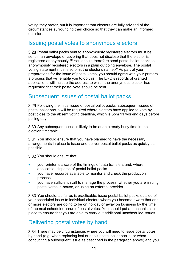voting they prefer, but it is important that electors are fully advised of the circumstances surrounding their choice so that they can make an informed decision.

#### <span id="page-15-1"></span>Issuing postal votes to anonymous electors

Postal ballot packs sent to anonymously registered electors must be sent in an envelope or covering that does not disclose that the elector is registered anonymously.[19](#page-9-18) You should therefore send postal ballot packs to anonymously registered electors in a plain outgoing envelope. The postal voting statement must also omit the elector's name.<sup>[20](#page-9-19)</sup> As part of your preparations for the issue of postal votes, you should agree with your printers a process that will enable you to do this. The ERO's records of granted applications will include the address to which the anonymous elector has requested that their postal vote should be sent.

### <span id="page-15-2"></span>Subsequent issues of postal ballot packs

Following the initial issue of postal ballot packs, subsequent issues of postal ballot packs will be required where electors have applied to vote by post close to the absent voting deadline, which is 5pm 11 working days before polling day.

3.30 Any subsequent issue is likely to be at an already busy time in the election timetable.

3.31 You should ensure that you have planned to have the necessary arrangements in place to issue and deliver postal ballot packs as quickly as possible.

3.32 You should ensure that:

- your printer is aware of the timings of data transfers and, where applicable, dispatch of postal ballot packs
- you have resource available to monitor and check the production process
- you have sufficient staff to manage the process, whether you are issuing postal votes in-house, or using an external provider

<span id="page-15-0"></span>3.33 You should, as far as is practicable, issue postal ballot packs outside of your scheduled issue to individual electors where you become aware that one or more electors are going to be on holiday or away on business by the time of the next scheduled issue of postal votes. You should put a mechanism in place to ensure that you are able to carry out additional unscheduled issues.

### <span id="page-15-3"></span>Delivering postal votes by hand

3.34 There may be circumstances where you will need to issue postal votes by hand (e.g. when replacing lost or spoilt postal ballot packs, or when conducting a subsequent issue as described in the paragraph above) and you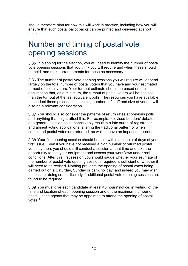should therefore plan for how this will work in practice, including how you will ensure that such postal ballot packs can be printed and delivered at short notice.

## <span id="page-16-0"></span>Number and timing of postal vote opening sessions

3.35 In planning for the election, you will need to identify the number of postal vote opening sessions that you think you will require and when these should be held, and make arrangements for these as necessary.

3.36 The number of postal vote opening sessions you will require will depend largely on the total number of postal voters that you have and your estimated turnout of postal voters. Your turnout estimate should be based on the assumption that, as a minimum, the turnout of postal voters will be not less than the turnout at the last equivalent polls. The resources you have available to conduct these processes, including numbers of staff and size of venue, will also be a relevant consideration.

You should also consider the patterns of return rates at previous polls and anything that might affect this. For example, televised Leaders' debates at a general election could conceivably result in a late surge of registration and absent voting applications, altering the traditional pattern of when completed postal votes are returned, as well as have an impact on turnout.

3.38 Your first opening session should be held within a couple of days of your first issue. Even if you have not received a high number of returned postal votes by then, you should still conduct a session at that time and take the opportunity to test your equipment and assess your workflows under real conditions. After this first session you should gauge whether your estimate of the number of postal vote opening sessions required is sufficient or whether it will need to be revised. Nothing prevents the opening of postal votes being carried out on a Saturday, Sunday or bank holiday, and indeed you may wish to consider doing so, particularly if additional postal vote opening sessions are found to be required.

3.39 You must give each candidate at least 48 hours' notice, in writing, of the time and location of each opening session and of the maximum number of postal voting agents that may be appointed to attend the opening of postal votes.<sup>[21](#page-9-20)</sup>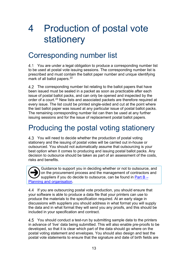# <span id="page-17-0"></span>4 Production of postal vote stationery

## <span id="page-17-1"></span>Corresponding number list

4.1 You are under a legal obligation to produce a corresponding number list to be used at postal vote issuing sessions. The corresponding number list is prescribed and must contain the ballot paper number and unique identifying mark of all ballot papers.<sup>[22](#page-9-21)</sup>

4.2 The corresponding number list relating to the ballot papers that have been issued must be sealed in a packet as soon as practicable after each issue of postal ballot packs, and can only be opened and inspected by the order of a court.[23](#page-9-22) New lists and associated packets are therefore required at every issue. The list could be printed single-sided and cut at the point where the last ballot paper was issued at any particular issue of postal ballot packs. The remaining corresponding number list can then be used at any further issuing sessions and for the issue of replacement postal ballot papers.

## <span id="page-17-2"></span>Producing the postal voting stationery

You will need to decide whether the production of postal voting stationery and the issuing of postal votes will be carried out in-house or outsourced. You should not automatically assume that outsourcing is your best option when it comes to producing and issuing postal ballot packs. Any decision to outsource should be taken as part of an assessment of the costs, risks and benefits.

Guidance to support you in deciding whether or not to outsource, and on the procurement process and the management of contractors and suppliers if you do decide to outsource, can be found in [Part B –](http://www.electoralcommission.org.uk/__data/assets/pdf_file/0008/175373/UKPE-Part-B-Planning-and-organisation.pdf) [Planning and organisation.](http://www.electoralcommission.org.uk/__data/assets/pdf_file/0008/175373/UKPE-Part-B-Planning-and-organisation.pdf)  $\overline{\bigodot}$ 

4.4 If you are outsourcing postal vote production, you should ensure that your software is able to produce a data file that your printers can use to produce the materials to the specification required. At an early stage in discussions with suppliers you should address in what format you will supply the data and in what format they will send you any proofs, and this should be included in your specification and contract.

4.5 You should conduct a test-run by submitting sample data to the printers in advance of 'live' data being submitted. This will also enable pre-proofs to be developed, so that it is clear which part of the data should go where on the postal voting statement and envelopes. You should also design and test the postal vote statements to ensure that the signature and date of birth fields are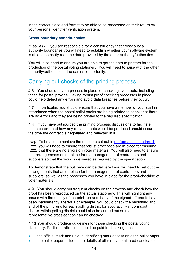in the correct place and format to be able to be processed on their return by your personal identifier verification system.

#### **Cross-boundary constituencies**

If, as (A)RO, you are responsible for a constituency that crosses local authority boundaries you will need to establish whether your software system is able to correctly read the data provided by the other authority/authorities.

You will also need to ensure you are able to get the data to printers for the production of the postal voting stationery. You will need to liaise with the other authority/authorities at the earliest opportunity.

### <span id="page-18-0"></span>Carrying out checks of the printing process

4.6 You should have a process in place for checking live proofs, including those for postal proxies. Having robust proof checking processes in place could help detect any errors and avoid data breaches before they occur.

4.7 In particular, you should ensure that you have a member of your staff in attendance when the postal ballot packs are being printed to check that there are no errors and they are being printed to the required specification.

4.8 If you have outsourced the printing process, discussions to facilitate these checks and how any replacements would be produced should occur at the time the contract is negotiated and reflected in it.

To be able to achieve the outcome set out in [performance](http://www.electoralcommission.org.uk/__data/assets/pdf_file/0003/163821/New-performance-standards-for-ROs-November-2013.pdf) standard 1, you will need to ensure that robust processes are in place for ensuring that there are no errors on voter materials. You will also need to ensure To be able to achieve the outcome set out in performance stands<br>  $\equiv$  you will need to ensure that robust processes are in place for ensure<br>
that there are no errors on voter materials. You will also need to<br>
that arrange suppliers so that the work is delivered as required by the specification.

To demonstrate that the outcome can be delivered you will need to set out the arrangements that are in place for the management of contractors and suppliers, as well as the processes you have in place for the proof-checking of voter materials.

4.9 You should carry out frequent checks on the process and check how the proof has been reproduced on the actual stationery. This will highlight any issues with the quality of the print-run and if any of the signed-off proofs have been inadvertently altered. For example, you could check the beginning and end of the print runs for each polling district for accuracy. Random spot checks within polling districts could also be carried out so that a representative cross-section can be checked.

4.10 You should produce quidelines for those checking the postal voting stationery. Particular attention should be paid to checking that:

- the official mark and unique identifying mark appear on each ballot paper
- the ballot paper includes the details of all validly nominated candidates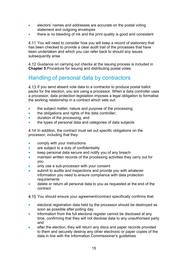- electors' names and addresses are accurate on the postal voting statement and outgoing envelopes
- there is no bleeding of ink and the print quality is good and consistent

4.11 You will need to consider how you will keep a record of stationery that has been checked to provide a clear audit trail of the processes that have been undertaken and which you can refer back to should any issues subsequently arise.

4.12 Guidance on carrying out checks at the issuing process is included in **Chapter [5](#page-23-0)** [Procedure for issuing and distributing postal votes.](#page-23-0)

## <span id="page-19-0"></span>Handling of personal data by contractors

4.13 If you send absent vote data to a contractor to produce postal ballot packs for the election, you are using a processor. When a data controller uses a processor, data protection legislation imposes a legal obligation to formalise the working relationship in a contract which sets out:

- the subject matter, nature and purpose of the processing;
- the obligations and rights of the data controller;
- duration of the processing; and
- the types of personal data and categories of data subjects

4.14 In addition, the contract must set out specific obligations on the processor, including that they:

- comply with your instructions
- are subject to a duty of confidentiality
- keep personal data secure and notify you of any breach
- maintain written records of the processing activities they carry out for you
- only use a sub-processor with your consent
- submit to audits and inspections and provide you with whatever information you need to ensure compliance with data protection requirements
- delete or return all personal data to you as requested at the end of the contract

4.15 You should ensure your agreement/contract specifically confirms that:

- electoral registration data held by the processor should be destroyed as soon as possible after polling day
- information from the full electoral register cannot be disclosed at any time, confirming that they will not disclose data to any unauthorised party and
- after the election, they will return any discs and paper records provided to them and securely destroy any other electronic or paper copies of the data in line with the Information Commissioner's guidelines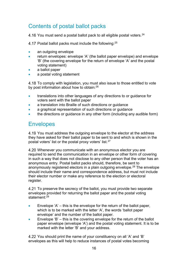## <span id="page-20-1"></span>Contents of postal ballot packs

4.16 You must send a postal ballot pack to all eligible postal voters.<sup>24</sup>

4.17 Postal ballot packs must include the following: $25$ 

- an outgoing envelope
- return envelopes: envelope 'A' (the ballot paper envelope) and envelope 'B' (the covering envelope for the return of envelope 'A' and the postal voting statement)
- a ballot paper
- a postal voting statement

4.18 To comply with legislation, you must also issue to those entitled to vote by post information about how to obtain: $^{26}$  $^{26}$  $^{26}$ 

- translations into other languages of any directions to or guidance for voters sent with the ballot paper
- a translation into Braille of such directions or guidance
- a graphical representation of such directions or quidance
- the directions or guidance in any other form (including any audible form)

### <span id="page-20-2"></span>**Envelopes**

4.19 You must address the outgoing envelope to the elector at the address they have asked for their ballot paper to be sent to and which is shown in the postal voters' list or the postal proxy voters' list.<sup>[27](#page-9-26)</sup>

<span id="page-20-0"></span>4.20 Whenever you communicate with an anonymous elector you are required to send the communication in an envelope or other form of covering in such a way that does not disclose to any other person that the voter has an anonymous entry. Postal ballot packs should, therefore, be sent to anonymously registered electors in a plain outgoing envelope.<sup>[28](#page-9-27)</sup> The envelope should include their name and correspondence address, but must not include their elector number or make any reference to the election or electoral register.

4.21 To preserve the secrecy of the ballot, you must provide two separate envelopes provided for returning the ballot paper and the postal voting statement:<sup>[29](#page-9-28)</sup>

- Envelope 'A' this is the envelope for the return of the ballot paper, which is to be marked with the letter 'A', the words 'ballot paper envelope' and the number of the ballot paper.
- Envelope 'B' this is the covering envelope for the return of the ballot paper envelope (envelope 'A') and the postal voting statement. It is to be marked with the letter 'B' and your address.

You should print the name of your constituency on all 'A' and 'B' envelopes as this will help to reduce instances of postal votes becoming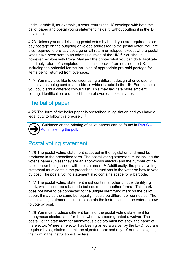undeliverable if, for example, a voter returns the 'A' envelope with both the ballot paper and postal voting statement inside it, without putting it in the 'B' envelope.

<span id="page-21-2"></span>Unless you are delivering postal votes by hand, you are required to prepay postage on the outgoing envelope addressed to the postal voter. You are also required to pre-pay postage on all return envelopes, except where postal votes have been sent to an address outside of the UK.[30](#page-9-29) You should, however, explore with Royal Mail and the printer what you can do to facilitate the timely return of completed postal ballot packs from outside the UK, including the potential for the inclusion of appropriate pre-paid postage for items being returned from overseas.

4.24 You may also like to consider using a different design of envelope for postal votes being sent to an address which is outside the UK. For example you could add a different colour flash. This may facilitate more efficient sorting, identification and prioritisation of overseas postal votes.

### <span id="page-21-3"></span>The ballot paper

4.25 The form of the ballot paper is prescribed in legislation and you have a legal duty to follow this precisely. [31](#page-9-30)



<span id="page-21-1"></span><span id="page-21-0"></span>Guidance on the printing of ballot papers can be found in Part  $C -$ [Administering the poll.](http://www.electoralcommission.org.uk/__data/assets/pdf_file/0005/175379/UKPE-Part-C-Administering-the-poll.pdf)

### <span id="page-21-4"></span>Postal voting statement

4.26 The postal voting statement is set out in the legislation and must be produced in the prescribed form. The postal voting statement must include the voter's name (unless they are an anonymous elector) and the number of the ballot paper being issued with the statement.<sup>[32](#page-9-31)</sup> Additionally, the postal voting statement must contain the prescribed instructions to the voter on how to vote by post. The postal voting statement also contains space for a barcode.

4.27 The postal voting statement must contain another unique identifying mark, which could be a barcode but could be in another format. This mark does not have to be connected to the unique identifying mark on the ballot paper: it may be the same but equally it could be different or connected. The postal voting statement must also contain the instructions to the voter on how to vote by post.

4.28 You must produce different forms of the postal voting statement for anonymous electors and for those who have been granted a waiver. The postal voting statement for anonymous electors must not show the name of the elector. Where an elector has been granted a waiver by the ERO, you are required by legislation to omit the signature box and any reference to signing the form in the instructions to voters.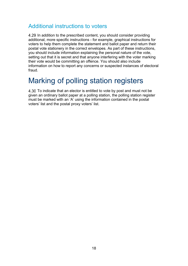### <span id="page-22-0"></span>Additional instructions to voters

4.29 In addition to the prescribed content, you should consider providing additional, more specific instructions - for example, graphical instructions for voters to help them complete the statement and ballot paper and return their postal vote stationery in the correct envelopes. As part of these instructions, you should include information explaining the personal nature of the vote, setting out that it is secret and that anyone interfering with the voter marking their vote would be committing an offence. You should also include information on how to report any concerns or suspected instances of electoral fraud.

## <span id="page-22-1"></span>Marking of polling station registers

4.30 To indicate that an elector is entitled to vote by post and must not be given an ordinary ballot paper at a polling station, the polling station register must be marked with an 'A' using the information contained in the postal voters' list and the postal proxy voters' list.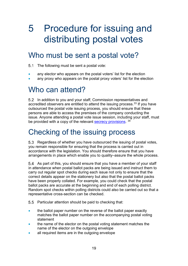# <span id="page-23-0"></span>5 Procedure for issuing and distributing postal votes

## <span id="page-23-1"></span>Who must be sent a postal vote?

5.1 The following must be sent a postal vote:

- any elector who appears on the postal voters' list for the election
- any proxy who appears on the postal proxy voters' list for the election

## <span id="page-23-2"></span>Who can attend?

In addition to you and your staff, Commission representatives and accredited observers are entitled to attend the issuing process.  $33$  If you have outsourced the postal vote issuing process, you should ensure that these persons are able to access the premises of the company conducting the issue. Anyone attending a postal vote issue session, including your staff, must be provided with a copy of the relevant [secrecy provisions.](http://www.electoralcommission.org.uk/__data/assets/word_doc/0008/141893/Secrecy-requirements-postal-voting-S66.doc) [34](#page-9-33)

## <span id="page-23-3"></span>Checking of the issuing process

5.3 Regardless of whether you have outsourced the issuing of postal votes, you remain responsible for ensuring that the process is carried out in accordance with the legislation. You should therefore ensure that you have arrangements in place which enable you to quality–assure the whole process.

5.4 As part of this, you should ensure that you have a member of your staff in attendance when postal ballot packs are being issued and instruct them to carry out regular spot checks during each issue not only to ensure that the correct details appear on the stationery but also that the postal ballot packs have been properly collated. For example, you could check that the postal ballot packs are accurate at the beginning and end of each polling district. Random spot checks within polling districts could also be carried out so that a representative cross-section can be checked.

- 5.5 Particular attention should be paid to checking that:
- the ballot paper number on the reverse of the ballot paper exactly matches the ballot paper number on the accompanying postal voting statement
- the name of the elector on the postal voting statement matches the name of the elector on the outgoing envelope
- all required items are in the outgoing envelope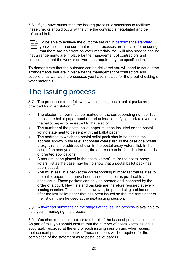5.6 If you have outsourced the issuing process, discussions to facilitate these checks should occur at the time the contract is negotiated and be reflected in it.

To be able to achieve the outcome set out in [performance standard 1,](http://www.electoralcommission.org.uk/__data/assets/pdf_file/0003/163821/New-performance-standards-for-ROs-November-2013.pdf) you will need to ensure that robust processes are in place for ensuring that there are no errors on voter materials. You will also need to ensure  $\begin{array}{|l|l|}\n\hline \text{CD} & \text{To be able to achieve the outcome set out in performance stand} \hline \hline \text{CD} & \text{you will need to ensure that robust processes are in place for en} \hline \text{that there are no errors on voter materials. You will also need to that arrangements are in place for the management of contracts and the data.} \end{array}$ suppliers so that the work is delivered as required by the specification.

To demonstrate that the outcome can be delivered you will need to set out the arrangements that are in place for the management of contractors and suppliers, as well as the processes you have in place for the proof-checking of voter materials.

## <span id="page-24-0"></span>The issuing process

5.7 The processes to be followed when issuing postal ballot packs are provided for in legislation: [35](#page-9-34)

- The elector number must be marked on the corresponding number list beside the ballot paper number and unique identifying mark relevant to the ballot paper to be issued to that elector.
- The number of the postal ballot paper must be included on the postal voting statement to be sent with that ballot paper
- The address to which the postal ballot pack should be sent is the address shown in the relevant postal voters' list. In the case of a postal proxy, this is the address shown in the postal proxy voters' list. In the case of an anonymous elector, the address can be found in the records of granted applications.
- A mark must be placed in the postal voters' list (or the postal proxy voters' list as the case may be) to show that a postal ballot pack has been issued.
- You must seal in a packet the corresponding number list that relates to the ballot papers that have been issued as soon as practicable after each issue. These packets can only be opened and inspected by the order of a court. New lists and packets are therefore required at every issuing session. The list could, however, be printed single-sided and cut after the last ballot paper that has been issued so that the remainder of the list can then be used at the next issuing session.

A [flowchart summarising the stages of the issuing process](http://www.electoralcommission.org.uk/__data/assets/word_doc/0017/142037/Postal-vote-issuing-flowchart-generic.doc) is available to help you in managing this process.

You should maintain a clear audit trail of the issue of postal ballot packs. As part of this, you should ensure that the number of postal votes issued is accurately recorded at the end of each issuing session and when issuing replacement postal ballot packs. These numbers will be required for the completion of the statement as to postal ballot papers.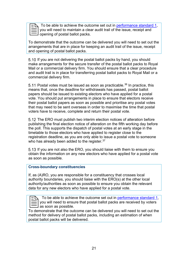To be able to achieve the outcome set out in [performance standard 1,](http://www.electoralcommission.org.uk/__data/assets/pdf_file/0003/163821/New-performance-standards-for-ROs-November-2013.pdf) you will need to maintain a clear audit trail of the issue, receipt and opening of postal ballot packs.

To demonstrate that the outcome can be delivered you will need to set out the arrangements that are in place for keeping an audit trail of the issue, receipt and opening of postal ballot packs.

5.10 If you are not delivering the postal ballot packs by hand, you should make arrangements for the secure transfer of the postal ballot packs to Royal Mail or a commercial delivery firm. You should ensure that a clear procedure and audit trail is in place for transferring postal ballot packs to Royal Mail or a commercial delivery firm.

5.11 Postal votes must be issued as soon as practicable.<sup>[36](#page-9-35)</sup> In practice, this means that, once the deadline for withdrawals has passed, postal ballot papers should be issued to existing electors who have applied for a postal vote. You should put arrangements in place to ensure that electors receive their postal ballot papers as soon as possible and prioritise any postal votes that may need to be sent overseas in order to maximise the time that postal voters have to receive, complete and return their postal vote.

5.12 The ERO must publish two interim election notices of alteration before publishing the final election notice of alteration on the fifth working day before the poll. This supports the dispatch of postal votes at an early stage in the timetable to those electors who have applied to register close to the registration deadline, as you are only able to issue a postal vote to someone who has already been added to the register.<sup>[37](#page-9-36)</sup>

5.13 If you are not also the ERO, you should liaise with them to ensure you obtain the information on any new electors who have applied for a postal vote as soon as possible.

#### **Cross-boundary constituencies**

If, as (A)RO, you are responsible for a constituency that crosses local authority boundaries, you should liaise with the ERO(s) at the other local authority/authorities as soon as possible to ensure you obtain the relevant data for any new electors who have applied for a postal vote.

 To be able to achieve the outcome set out in [performance standard 1,](http://www.electoralcommission.org.uk/__data/assets/pdf_file/0003/163821/New-performance-standards-for-ROs-November-2013.pdf) you will need to ensure that postal ballot packs are received by voters  $\begin{array}{|l|l|}\n\hline\n\text{CD} & \text{To be able to achieve an example of a specific system.}\n\hline\n\hline\n\text{CD} & \text{as soon as possible.}\n\end{array}$ 

To demonstrate that the outcome can be delivered you will need to set out the method for delivery of postal ballot packs, including an estimation of when postal ballot packs will be delivered.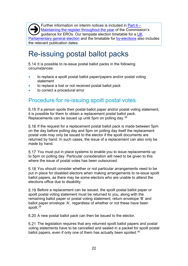Further information on interim notices is included in [Part 4 –](http://www.electoralcommission.org.uk/__data/assets/pdf_file/0011/162578/Part-4-Maintaining-the-register-throughout-the-year.pdf) Maintaining [the register throughout the year](http://www.electoralcommission.org.uk/__data/assets/pdf_file/0011/162578/Part-4-Maintaining-the-register-throughout-the-year.pdf) of the Commission's guidance for EROs. Our template election timetable for a [UK](http://www.electoralcommission.org.uk/__data/assets/word_doc/0005/173066/UKPGE-Election-timetable-generic.doc) [Parliamentary general election](http://www.electoralcommission.org.uk/__data/assets/word_doc/0005/173066/UKPGE-Election-timetable-generic.doc) and the timetable for [by-elections](http://www.electoralcommission.org.uk/__data/assets/word_doc/0014/214250/UKPE-By-Election-timetable-generic.doc) also includes the relevant publication dates.  $\overline{\bigodot}$ 

## <span id="page-26-0"></span>Re-issuing postal ballot packs

5.14 It is possible to re-issue postal ballot packs in the following circumstances:

- to replace a spoilt postal ballot paper/papers and/or postal voting statement
- to replace a lost or not received postal ballot pack
- to correct a procedural error

### <span id="page-26-1"></span>Procedure for re-issuing spoilt postal votes

<span id="page-26-2"></span>5.15 If a person spoils their postal ballot paper and/or postal voting statement, it is possible for them to obtain a replacement postal ballot pack. Replacements can be issued up until 5pm on polling day.<sup>[38](#page-9-37)</sup>

If the request for a replacement postal ballot pack is made between 5pm on the day before polling day and 5pm on polling day itself the replacement postal vote may only be issued to the elector if the spoilt documents are returned by hand. In such cases, the issue of a replacement can also only be made by hand.

5.17 You must put in place systems to enable you to issue replacements up to 5pm on polling day. Particular consideration will need to be given to this where the issue of postal votes has been outsourced.

5.18 You should consider whether or not particular arrangements need to be put in place for disabled electors when making arrangements to re-issue spoilt ballot papers, as there may be some electors who are unable to attend the elections office due to disability.

5.19 Before a replacement can be issued, the spoilt postal ballot paper or spoilt postal voting statement must be returned to you, along with the remaining ballot paper or postal voting statement, return envelope 'B' and ballot paper envelope 'A', regardless of whether or not these have been spoilt.<sup>[39](#page-9-38)</sup>

5.20 A new postal ballot pack can then be issued to the elector.

5.21 The legislation requires that any returned spoilt ballot papers and postal voting statements have to be cancelled and sealed in a packet for spoilt postal ballot papers, even if only one of them has actually been spoiled.<sup>[40](#page-9-39)</sup>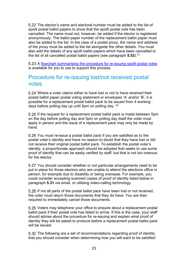5.22 The elector's name and electoral number must be added to the list of spoilt postal ballot papers to show that the spoilt postal vote has been cancelled. The name must not, however, be added if the elector is registered anonymously. The ballot paper number of the replacement ballot paper must also be added to the list. In the case of a postal proxy, the name and address of the proxy must be added to the list alongside the other details. You must also add the details of any spoilt ballot papers which have been cancelled to the list of all cancelled postal ballot papers (see paragraph **[5.53](#page-32-0)**).[41](#page-9-40)

5.23 A [flowchart summarising the procedure for re-issuing spoilt postal votes](https://www.electoralcommission.org.uk/__data/assets/word_doc/0015/142044/Re-issuing-of-lost-and-spoilt-postal-votes-flowchart-generic.doc) is available for you to use to support this process.

### <span id="page-27-2"></span>Procedure for re-issuing lost/not received postal votes

Where a voter claims either to have lost or not to have received their postal ballot paper postal voting statement or envelopes 'A' and/or 'B', it is possible for a replacement postal ballot pack to be issued from 4 working days before polling day up until 5pm on polling day. [42](#page-9-41)

If the request for a replacement postal ballot pack is made between 5pm on the day before polling day and 5pm on polling day itself the voter must apply in person and the issue of a replacement pack may only be made by hand.

<span id="page-27-0"></span>You must re-issue a postal ballot pack if you are satisfied as to the postal voter's identity and have no reason to doubt that they have lost or did not receive their original postal ballot pack. To establish the postal voter's identity, a proportionate approach should be adopted that seeks to use some proof of identity that can be easily verified by staff, but that is not too onerous for the elector.

<span id="page-27-1"></span>5.27 You should consider whether or not particular arrangements need to be put in place for those electors who are unable to attend the elections office in person, for example due to disability or being overseas. For example, you could consider accepting scanned copies of proof of identity listed below in paragraph **[5.31](#page-28-0)** via email, or utilising video-calling technology.

5.28 If not all parts of the postal ballot pack have been lost or not received, the voter must return those documents that they do have. You are then required to immediately cancel those documents.

5.29 Voters may telephone your office to enquire about a replacement postal ballot pack if their postal vote has failed to arrive. If this is the case, your staff should advise about the procedure for re-issuing and explain what proof of identity they will be asked to produce before a replacement postal ballot pack will be issued.

5.30 The following are a set of recommendations regarding proof of identity that you should consider when determining how you will want to be satisfied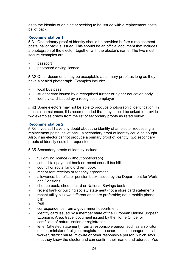as to the identity of an elector seeking to be issued with a replacement postal ballot pack.

#### **Recommendation 1**

<span id="page-28-0"></span>5.31 One primary proof of identity should be provided before a replacement postal ballot pack is issued. This should be an official document that includes a photograph of the elector, together with the elector's name. The two most secure examples are:

- passport
- **photocard driving licence**

5.32 Other documents may be acceptable as primary proof, as long as they have a sealed photograph. Examples include:

- local bus pass
- student card issued by a recognised further or higher education body
- identity card issued by a recognised employer

5.33 Some electors may not be able to produce photographic identification. In these circumstances, it is recommended that they should be asked to provide two examples drawn from the list of secondary proofs as listed below.

#### **Recommendation 2**

5.34 If you still have any doubt about the identity of an elector requesting a replacement postal ballot pack, a secondary proof of identity could be sought. Also, if an elector cannot produce a primary proof of identity, two secondary proofs of identity could be requested.

5.35 Secondary proofs of identity include:

- full driving licence (without photograph)
- council tax payment book or recent council tax bill
- council or social landlord rent book
- recent rent receipts or tenancy agreement
- allowance, benefits or pension book issued by the Department for Work and Pensions
- cheque book, cheque card or National Savings book
- recent bank or building society statement (not a store card statement)
- recent utility bill (two different ones are preferable; not a mobile phone bill)
- P<sub>45</sub>
- correspondence from a government department
- identity card issued by a member state of the European Union/European Economic Area, travel document issued by the Home Office, or certificate of naturalisation or registration
- letter (attested statement) from a responsible person such as a solicitor, doctor, minister of religion, magistrate, teacher, hostel manager, social worker, district nurse, midwife or other responsible person, which says that they know the elector and can confirm their name and address. You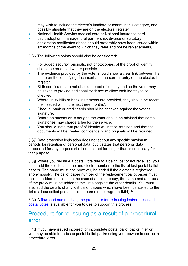may wish to include the elector's landlord or tenant in this category, and possibly stipulate that they are on the electoral register

- National Health Service medical card or National Insurance card
- birth, adoption, marriage, civil partnership, divorce or statutory declaration certificates (these should preferably have been issued within six months of the event to which they refer and not be replacements)

<span id="page-29-1"></span>5.36 The following points should also be considered:

- For added security, originals, not photocopies, of the proof of identity should be produced where possible.
- The evidence provided by the voter should show a clear link between the name on the identifying document and the current entry on the electoral register.
- Birth certificates are not absolute proof of identity and so the voter may be asked to provide additional evidence to allow their identity to be checked.
- Where utility bills or bank statements are provided, they should be recent (i.e., issued within the last three months).
- Cheque, bank or credit cards should be checked against the voter's signature.
- Before an attestation is sought, the voter should be advised that some signatories may charge a fee for the service.
- You should state that proof of identity will not be retained and that the documents will be treated confidentially and originals will be returned.

5.37 Data protection legislation does not set out any specific maximum periods for retention of personal data, but it states that personal data processed for any purpose shall not be kept for longer than is necessary for that purpose.

Where you re-issue a postal vote due to it being lost or not received, you must add the elector's name and elector number to the list of lost postal ballot papers. The name must not, however, be added if the elector is registered anonymously. The ballot paper number of the replacement ballot paper must also be added to the list. In the case of a postal proxy, the name and address of the proxy must be added to the list alongside the other details. You must also add the details of any lost ballot papers which have been cancelled to the list of all cancelled postal ballot papers (see paragraph **[5.54](#page-32-1)**).<sup>[43](#page-9-42)</sup>

5.39 A flowchart summarising the procedure for re-issuing lost/not received [postal votes](https://www.electoralcommission.org.uk/media/2914) is available for you to use to support this process.

### <span id="page-29-0"></span>Procedure for re-issuing as a result of a procedural error

5.40 If you have issued incorrect or incomplete postal ballot packs in error, you may be able to re-issue postal ballot packs using your powers to correct a procedural error.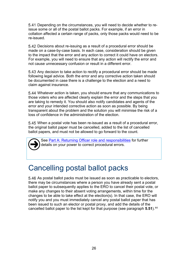Depending on the circumstances, you will need to decide whether to reissue some or all of the postal ballot packs. For example, if an error in collation affected a certain range of packs, only those packs would need to be re-issued.

Decisions about re-issuing as a result of a procedural error should be made on a case-by-case basis. In each case, consideration should be given to the impact that the error and any action to correct it could have on electors. For example, you will need to ensure that any action will rectify the error and not cause unnecessary confusion or result in a different error.

5.43 Any decision to take action to rectify a procedural error should be made following legal advice. Both the error and any corrective action taken should be documented in case there is a challenge to the election and a need to claim against insurance.

Whatever action is taken, you should ensure that any communications to those voters who are affected clearly explain the error and the steps that you are taking to remedy it. You should also notify candidates and agents of the error and your intended corrective action as soon as possible. By being transparent about the problem and the solution you will minimise the risk of a loss of confidence in the administration of the election.

When a postal vote has been re-issued as a result of a procedural error, the original ballot paper must be cancelled, added to the list of cancelled ballot papers, and must not be allowed to go forward to the count.  $\overline{\bigodot}$ 

See [Part A: Returning Officer role and responsibilities](http://www.electoralcommission.org.uk/__data/assets/pdf_file/0009/175365/UKPE-Part-A-Returning-Officer-role-and-responsibilities.pdf) for further details on your power to correct procedural errors.

## <span id="page-30-0"></span>Cancelling postal ballot packs

<span id="page-30-1"></span>5.46 As postal ballot packs must be issued as soon as practicable to electors, there may be circumstances where a person you have already sent a postal ballot paper to subsequently applies to the ERO to cancel their postal vote, or make any changes to their absent voting arrangements, within time for the changes to be able to take effect at the election(s). In that case, the ERO will notify you and you must immediately cancel any postal ballot paper that has been issued to such an elector or postal proxy, and add the details of the cancelled ballot paper to the list kept for that purpose (see paragraph **[5.51](#page-32-2)**). [44](#page-9-43)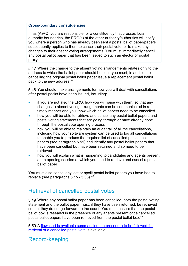#### **Cross-boundary constituencies**

If, as (A)RO, you are responsible for a constituency that crosses local authority boundaries, the ERO(s) at the other authority/authorities will notify you where a person who has already been sent a postal ballot paper/papers subsequently applies to them to cancel their postal vote, or to make any changes to their absent voting arrangements. You must immediately cancel any postal ballot paper that has been issued to such an elector or postal proxy.

Where the change to the absent voting arrangements relates only to the address to which the ballot paper should be sent, you must, in addition to cancelling the original postal ballot paper issue a replacement postal ballot pack to the new address.[45](#page-9-44)

5.48 You should make arrangements for how you will deal with cancellations after postal packs have been issued, including:

- if you are not also the ERO, how you will liaise with them, so that any changes to absent voting arrangements can be communicated in a timely manner and you know which ballot papers need to be cancelled
- how you will be able to retrieve and cancel any postal ballot papers and postal voting statements that are going through or have already gone through the postal vote opening process
- how you will be able to maintain an audit trail of all the cancellations, including how your software system can be used to log all cancellations to enable you to produce the required list of cancelled postal ballot papers (see paragraph [5.51\)](#page-32-2) and identify any postal ballot papers that have been cancelled but have been returned and so need to be retrieved
- how you will explain what is happening to candidates and agents present at an opening session at which you need to retrieve and cancel a postal ballot paper

You must also cancel any lost or spoilt postal ballot papers you have had to replace (see paragraphs **[5.15](#page-26-2) - [5.36](#page-29-1)**).[46](#page-9-45)

### <span id="page-31-0"></span>Retrieval of cancelled postal votes

<span id="page-31-2"></span>Where any postal ballot paper has been cancelled, both the postal voting statement and the ballot paper must, if they have been returned, be retrieved so that they do not go forward to the count. You must ensure that the postal ballot box is resealed in the presence of any agents present once cancelled postal ballot papers have been retrieved from the postal ballot box.<sup>[47](#page-9-46)</sup>

5.50 A flowchart is available summarising the procedure to be followed for [retrieval of a cancelled postal vote](http://www.electoralcommission.org.uk/__data/assets/word_doc/0014/142043/Postal-vote-retrieval-flowchart-generic.doc) is available.

### <span id="page-31-1"></span>Record-keeping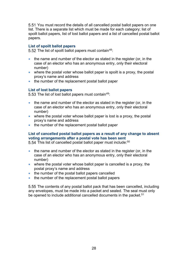<span id="page-32-2"></span>You must record the details of all cancelled postal ballot papers on one list. There is a separate list which must be made for each category; list of spoilt ballot papers, list of lost ballot papers and a list of cancelled postal ballot papers.

#### **List of spoilt ballot papers**

5.52 The list of spoilt ballot papers must contain<sup>[48:](#page-9-47)</sup>

- the name and number of the elector as stated in the register (or, in the case of an elector who has an anonymous entry, only their electoral number)
- where the postal voter whose ballot paper is spoilt is a proxy, the postal proxy's name and address
- the number of the replacement postal ballot paper

#### **List of lost ballot papers**

<span id="page-32-0"></span>5.53 The list of lost ballot papers must contain<sup>[49](#page-9-48):</sup>

- the name and number of the elector as stated in the register (or, in the case of an elector who has an anonymous entry, only their electoral number)
- where the postal voter whose ballot paper is lost is a proxy, the postal proxy's name and address
- the number of the replacement postal ballot paper

#### **List of cancelled postal ballot papers as a result of any change to absent voting arrangements after a postal vote has been sent**

<span id="page-32-1"></span>5.54 This list of cancelled postal ballot paper must include: [50](#page-10-2)

- the name and number of the elector as stated in the register (or, in the case of an elector who has an anonymous entry, only their electoral number)
- where the postal voter whose ballot paper is cancelled is a proxy, the postal proxy's name and address
- the number of the postal ballot papers cancelled
- the number of the replacement postal ballot papers

5.55 The contents of any postal ballot pack that has been cancelled, including any envelopes, must be made into a packet and sealed. The seal must only be opened to include additional cancelled documents in the packet.<sup>[51](#page-10-3)</sup>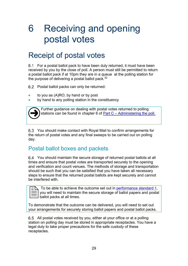# <span id="page-33-0"></span>6 Receiving and opening postal votes

## <span id="page-33-1"></span>Receipt of postal votes

For a postal ballot pack to have been duly returned, it must have been received by you by the close of poll. A person must still be permitted to return a postal ballot pack if at 10pm they are in a queue at the polling station for the purpose of delivering a postal ballot pack.<sup>[52](#page-10-4)</sup>

Postal ballot packs can only be returned:

- to you as  $(A)$ RO, by hand or by post
- by hand to any polling station in the constituency



Further guidance on dealing with postal votes returned to polling stations can be found in chapter 6 of Part C – [Administering the poll.](http://www.electoralcommission.org.uk/__data/assets/pdf_file/0005/175379/UKPE-Part-C-Administering-the-poll.pdf)

You should make contact with Royal Mail to confirm arrangements for the return of postal votes and any final sweeps to be carried out on polling day.

### <span id="page-33-2"></span>Postal ballot boxes and packets

You should maintain the secure storage of returned postal ballots at all times and ensure that postal votes are transported securely to the opening and verification and count venues. The methods of storage and transportation should be such that you can be satisfied that you have taken all necessary steps to ensure that the returned postal ballots are kept securely and cannot be interfered with.

To be able to achieve the outcome set out in [performance standard 1,](http://www.electoralcommission.org.uk/__data/assets/pdf_file/0003/163821/New-performance-standards-for-ROs-November-2013.pdf) you will need to maintain the secure storage of ballot papers and postal ballot packs at all times.

To demonstrate that the outcome can be delivered, you will need to set out your arrangements for securely storing ballot papers and postal ballot packs.

All postal votes received by you, either at your office or at a polling station on polling day must be stored in appropriate receptacles. You have a legal duty to take proper precautions for the safe custody of these receptacles.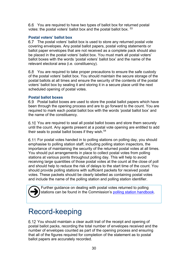You are required to have two types of ballot box for returned postal votes: the postal voters' ballot box and the postal ballot box. [53](#page-10-5)

#### **Postal voters' ballot box**

6.7 The postal voters' ballot box is used to store any returned postal vote covering envelopes. Any postal ballot papers, postal voting statements or ballot paper envelopes that are not received as a complete pack should also be placed in the postal voters' ballot box. You must mark all postal voters' ballot boxes with the words 'postal voters' ballot box' and the name of the relevant electoral area (i.e. constituency).

You are required to take proper precautions to ensure the safe custody of the postal voters' ballot box. You should maintain the secure storage of the postal ballots at all times and ensure the security of the contents of the postal voters' ballot box by sealing it and storing it in a secure place until the next scheduled opening of postal votes.

#### **Postal ballot boxes**

Postal ballot boxes are used to store the postal ballot papers which have been through the opening process and are to go forward to the count. You are required to mark each postal ballot box with the words 'postal ballot box' and the name of the constituency.

6.10 You are required to seal all postal ballot boxes and store them securely until the count. Any agents present at a postal vote opening are entitled to add their seals to postal ballot boxes if they wish.<sup>[54](#page-10-6)</sup>

For postal votes handed in to polling stations on polling day, you should emphasise to polling station staff, including polling station inspectors, the importance of maintaining the security of the returned postal votes at all times. You should put arrangements in place to collect postal votes from polling stations at various points throughout polling day. This will help to avoid receiving large quantities of those postal votes at the count at the close of poll and should help to reduce the risk of delays to the start time of the count. You should provide polling stations with sufficient packets for received postal votes. These packets should be clearly labelled as containing postal votes and include the name of the polling station and polling station identifier.

 $\overline{\bigodot}$ 

Further guidance on dealing with postal votes returned to polling stations can be found in the Commission's [polling station handbook.](http://www.electoralcommission.org.uk/__data/assets/pdf_file/0004/175621/Polling-station-handbook-UKPE.pdf)

## <span id="page-34-0"></span>Record-keeping

You should maintain a clear audit trail of the receipt and opening of postal ballot packs, recording the total number of envelopes received and the number of envelopes counted as part of the opening process and ensuring that all of the figures required for completion of the statement as to postal ballot papers are accurately recorded.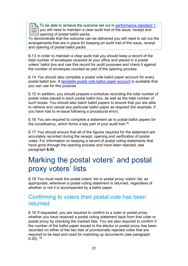To be able to achieve the outcome set out in [performance standard 1,](http://www.electoralcommission.org.uk/__data/assets/pdf_file/0003/163821/New-performance-standards-for-ROs-November-2013.pdf) you will need to maintain a clear audit trail of the issue, receipt and opening of postal ballot packs. To be able to achieve the outcome set out in performance standard 1,<br>  $\equiv$  you will need to maintain a clear audit trail of the issue, receipt and<br>
To demonstrate that the outcome can be delivered you will need to set out

arrangements that are in place for keeping an audit trail of the issue, receipt and opening of postal ballot packs.

6.13 In order to maintain a clear audit trail you should keep a record of the total number of envelopes received at your office and placed in a postal voters' ballot box and use this record for audit purposes and check it against the number of envelopes counted as part of the opening process.

You should also complete a postal vote ballot paper account for every postal ballot box. A [template postal vote ballot paper account](http://www.electoralcommission.org.uk/__data/assets/word_doc/0016/142045/Postal-voting-ballot-paper-account-generic.doc) is available that you can use for this purpose.

6.15 In addition, you should prepare a schedule recording the total number of postal votes placed in each postal ballot box, as well as the total number of such boxes. You should also batch ballot papers to ensure that you are able to retrieve and cancel any particular ballot paper as required (for example, if you have had to re-issue following a procedural error).

6.16 You are required to complete a statement as to postal ballot papers for the constituency, which forms a key part of your audit trail.<sup>[55](#page-10-7)</sup>

You should ensure that all of the figures required for the statement are accurately recorded during the receipt, opening and verification of postal votes. For information on keeping a record of postal voting statements that have gone through the opening process and have been rejected, see paragraph **[6.43](#page-40-2)**.

## <span id="page-35-0"></span>Marking the postal voters' and postal proxy voters' lists

You must mark the postal voters' list or postal proxy voters' list, as appropriate, whenever a postal voting statement is returned, regardless of whether or not it is accompanied by a ballot paper.

### <span id="page-35-1"></span>Confirming to voters their postal vote has been returned

6.19 If requested, you are required to confirm to a voter or postal proxy whether you have received a postal voting statement back from that voter or postal proxy by checking the marked lists. You are also required to confirm if the number of the ballot paper issued to the elector or postal proxy has been recorded on either of the two lists of provisionally rejected votes that are required to be kept and used for matching up documents (see paragraph [6.30\)](#page-38-1). [56](#page-10-8)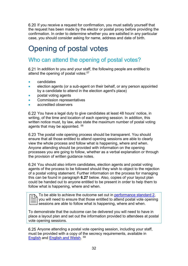6.20 If you receive a request for confirmation, you must satisfy yourself that the request has been made by the elector or postal proxy before providing the confirmation. In order to determine whether you are satisfied in any particular case, you should consider asking for name, address and date of birth.

## <span id="page-36-1"></span>Opening of postal votes

### <span id="page-36-2"></span>Who can attend the opening of postal votes?

6.21 In addition to you and your staff, the following people are entitled to attend the opening of postal votes:<sup>[57](#page-10-9)</sup>

- candidates
- election agents (or a sub-agent on their behalf, or any person appointed by a candidate to attend in the election agent's place)
- postal voting agents
- Commission representatives
- accredited observers

You have a legal duty to give candidates at least 48 hours' notice, in writing, of the time and location of each opening session. In addition, this written notice must, by law, also state the maximum number of postal voting agents that may be appointed. [58](#page-10-10)

<span id="page-36-0"></span>6.23 The postal vote opening process should be transparent. You should ensure that all those entitled to attend opening sessions are able to clearly view the whole process and follow what is happening, where and when. Anyone attending should be provided with information on the opening processes you are going to follow, whether as a verbal explanation or through the provision of written guidance notes.

6.24 You should also inform candidates, election agents and postal voting agents of the process to be followed should they wish to object to the rejection of a postal voting statement. Further information on the process for managing this can be found in paragraph **[6.27](#page-37-1)** below. Also, copies of your layout plan could be handed out to anyone entitled to be present in order to help them to follow what is happening, where and when.

To be able to achieve the outcome set out in [performance standard 2,](http://www.electoralcommission.org.uk/__data/assets/pdf_file/0003/163821/New-performance-standards-for-ROs-November-2013.pdf) you will need to ensure that those entitled to attend postal vote opening sessions are able to follow what is happening, where and when.

To demonstrate that the outcome can be delivered you will need to have in place a layout plan and set out the information provided to attendees at postal vote opening sessions.

6.25 Anyone attending a postal vote opening session, including your staff, must be provided with a copy of the secrecy requirements, available in [English](http://www.electoralcommission.org.uk/__data/assets/word_doc/0008/141893/Secrecy-requirements-postal-voting-S66.doc) and [English and Welsh.](http://www.electoralcommission.org.uk/__data/assets/word_doc/0003/141897/Secrecy-requirements-postal-voting-Wales-S66-WB.doc) [59](#page-10-11)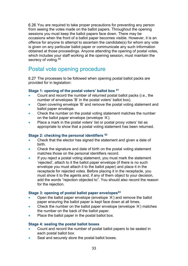6.26 You are required to take proper precautions for preventing any person from seeing the votes made on the ballot papers. Throughout the opening sessions you must keep the ballot papers face down. There may be occasions when the front of a ballot paper becomes visible. However, it is an offence for anyone to attempt to ascertain the candidate(s) for whom any vote is given on any particular ballot paper or communicate any such information obtained at those proceedings. Anyone attending the opening of postal votes, which includes your staff working at the opening session, must maintain the secrecy of voting.<sup>[60](#page-10-12)</sup>

### <span id="page-37-0"></span>Postal vote opening procedure

<span id="page-37-1"></span>6.27 The processes to be followed when opening postal ballot packs are provided for in legislation:

#### **Stage 1: opening of the postal voters' ballot box [61](#page-10-13)**

- Count and record the number of returned postal ballot packs (i.e., the number of envelopes 'B' in the postal voters' ballot box).
- Open covering envelope 'B' and remove the postal voting statement and ballot paper envelope.
- Check the number on the postal voting statement matches the number on the ballot paper envelope (envelope 'A').
- Place a mark in the postal voters' list or postal proxy voters' list as appropriate to show that a postal voting statement has been returned.

#### **Stage 2: checking the personal identifiers [62](#page-10-14)**

- Check that the elector has signed the statement and given a date of birth.
- Check the signature and date of birth on the postal voting statement matches those on the personal identifiers record.
- If you reject a postal voting statement, you must mark the statement 'rejected', attach to it the ballot paper envelope (if there is no such envelope you must attach it to the ballot paper) and place it in the receptacle for rejected votes. Before placing it in the receptacle, you must show it to the agents and, if any of them object to your decision, add the words "rejection objected to". You should also record the reason for the rejection.

#### **Stage 3: opening of postal ballot paper envelopes[63](#page-10-15)**

- Open the ballot paper envelope (envelope 'A') and remove the ballot paper ensuring the ballot paper is kept face down at all times.
- Check the number on the ballot paper envelope (envelope 'A') matches the number on the back of the ballot paper.
- Place the ballot paper in the postal ballot box.

#### **Stage 4: sealing the postal ballot boxes**

- Count and record the number of postal ballot papers to be sealed in each postal ballot box.
- Seal and securely store the postal ballot boxes.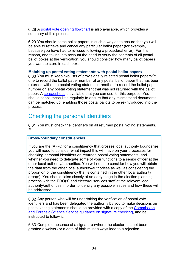6.28 A [postal vote opening flowchart](http://www.electoralcommission.org.uk/__data/assets/word_doc/0013/142042/Postal-vote-opening-flowchart-generic.doc) is also available, which provides a summary of this process.

6.29 You should batch ballot papers in such a way as to ensure that you will be able to retrieve and cancel any particular ballot paper (for example, because you have had to re-issue following a procedural error). For this reason, and taking into account the need to verify the contents of all postal ballot boxes at the verification, you should consider how many ballot papers you want to store in each box.

#### **Matching up postal voting statements with postal ballot papers**

<span id="page-38-1"></span>6.30 You must keep two lists of provisionally rejected postal ballot papers:  $64$ one to record the ballot paper number of any postal ballot paper that has been returned without a postal voting statement, another to record the ballot paper number on any postal voting statement that was not returned with the ballot paper. A [spreadsheet](http://www.electoralcommission.org.uk/__data/assets/excel_doc/0018/142047/Postal-vote-matching-spreadsheet-generic.xls) is available that you can use for this purpose. You should check these lists regularly to ensure that any mismatched documents can be matched up, enabling those postal ballots to be re-introduced into the process.

### <span id="page-38-0"></span>Checking the personal identifiers

6.31 You must check the identifiers on all returned postal voting statements. [65](#page-10-17)

#### **Cross-boundary constituencies**

If you are the (A)RO for a constituency that crosses local authority boundaries you will need to consider what impact this will have on your processes for checking personal identifiers on returned postal voting statements, and whether you need to delegate some of your functions to a senior officer at the other local authority/authorities. You will need to consider how you will obtain the data from the other local authority/authorities as well as considering the proportion of the constituency that is contained in the other local authority area(s). You should liaise closely at an early stage in the election planning process with the ERO(s) and electoral services staff at the relevant local authority/authorities in order to identify any possible issues and how these will be addressed.

6.32 Any person who will be undertaking the verification of postal vote identifiers and has been delegated the authority by you to make decisions on postal voting statements should be provided with a copy of the [Commission](http://www.electoralcommission.org.uk/__data/assets/pdf_file/0008/109079/Forensic-Science-guidance.pdf)  [and Forensic Science Service guidance on signature checking,](http://www.electoralcommission.org.uk/__data/assets/pdf_file/0008/109079/Forensic-Science-guidance.pdf) and be instructed to follow it.

6.33 Complete absence of a signature (where the elector has not been granted a waiver) or a date of birth must always lead to a rejection.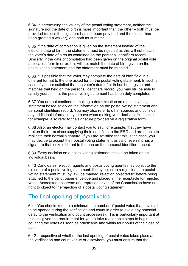6.34 In determining the validity of the postal voting statement, neither the signature nor the date of birth is more important than the other – both must be provided (unless the signature has not been provided and the elector has been granted a waiver), and both must match.

6.35 If the date of completion is given on the statement instead of the elector's date of birth, the statement must be rejected as this will not match the voter's date of birth as contained on the personal identifiers record. Similarly, if the date of completion had been given on the original postal vote application form in error, this will not match the date of birth given on the postal voting statement and the statement must be rejected.

6.36 It is possible that the voter may complete the date of birth field in a different format to the one asked for on the postal voting statement. In such a case, if you are satisfied that the voter's date of birth has been given and matches that held on the personal identifiers record, you may still be able to satisfy yourself that the postal voting statement has been duly completed.

You are not confined to making a determination on a postal voting statement based solely on the information on the postal voting statement and personal identifiers record. You may also refer to other sources and consider any additional information you have when making your decision. You could, for example, also refer to the signature provided on a registration form.

Also, an elector may contact you to say, for example, that they have broken their arm since supplying their identifiers to the ERO and are unable to replicate their normal signature. If you are satisfied that this is the case, you may decide to accept their postal voting statement as valid, even if it has a signature that looks different to the one on the personal identifiers record.

Every decision on a postal voting statement should be taken on an individual basis.

Candidates, election agents and postal voting agents may object to the rejection of a postal voting statement. If they object to a rejection, the postal voting statement must, by law, be marked 'rejection objected to' before being attached to the ballot paper envelope and placed in the receptacle for rejected votes. Accredited observers and representatives of the Commission have no right to object to the rejection of a postal voting statement.

### <span id="page-39-0"></span>The final opening of postal votes

You should keep to a minimum the number of postal votes that have still to be opened during the verification and count in order to avoid any potential delay to the verification and count process(es). This is particularly important at this poll given the requirement for you to take reasonable steps to begin counting the votes as soon as practicable and within four hours of the close of poll.

6.42 Irrespective of whether the last opening of postal votes takes place at the verification and count venue or elsewhere, you must ensure that the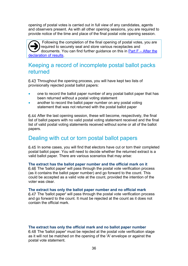opening of postal votes is carried out in full view of any candidates, agents and observers present. As with all other opening sessions, you are required to provide notice of the time and place of the final postal vote opening session.

Following the completion of the final opening of postal votes, you are required to securely seal and store various receptacles and documents. You can find further guidance on this in Part F – [After the](http://www.electoralcommission.org.uk/__data/assets/pdf_file/0011/175394/UKPE-Part-F-After-the-declaration-of-result.pdf)  [declaration of results.](http://www.electoralcommission.org.uk/__data/assets/pdf_file/0011/175394/UKPE-Part-F-After-the-declaration-of-result.pdf) A

### <span id="page-40-0"></span>Keeping a record of incomplete postal ballot packs returned

<span id="page-40-2"></span>6.43 Throughout the opening process, you will have kept two lists of provisionally rejected postal ballot papers:

- one to record the ballot paper number of any postal ballot paper that has been returned without a postal voting statement
- another to record the ballot paper number on any postal voting statement that was not returned with the postal ballot paper

6.44 After the last opening session, these will become, respectively, the final list of ballot papers with no valid postal voting statement received and the final list of valid postal voting statements received without some or all of the ballot papers.

### <span id="page-40-1"></span>Dealing with cut or torn postal ballot papers

6.45 In some cases, you will find that electors have cut or torn their completed postal ballot paper. You will need to decide whether the returned extract is a valid ballot paper. There are various scenarios that may arise:

#### **The extract has the ballot paper number and the official mark on it**

6.46 The 'ballot paper' will pass through the postal vote verification process (as it contains the ballot paper number) and go forward to the count. This could be accepted as a valid vote at the count, provided the intention of the voter was clear.

#### **The extract has only the ballot paper number and no official mark**

The 'ballot paper' will pass through the postal vote verification process and go forward to the count. It must be rejected at the count as it does not contain the official mark.

#### **The extract has only the official mark and no ballot paper number**

6.48 The 'ballot paper' must be rejected at the postal vote verification stage as it will not be matched on the opening of the 'A' envelope or against the postal vote statement.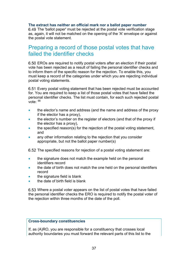#### **The extract has neither an official mark nor a ballot paper number**

6.49 The 'ballot paper' must be rejected at the postal vote verification stage as, again, it will not be matched on the opening of the 'A' envelope or against the postal vote statement.

### <span id="page-41-0"></span>Preparing a record of those postal votes that have failed the identifier checks

EROs are required to notify postal voters after an election if their postal vote has been rejected as a result of failing the personal identifier checks and to inform them of the specific reason for the rejection. To enable this, you must keep a record of the categories under which you are rejecting individual postal voting statements.

Every postal voting statement that has been rejected must be accounted for. You are required to keep a list of those postal votes that have failed the personal identifier checks. The list must contain, for each such rejected postal vote:  $66$ 

- the elector's name and address (and the name and address of the proxy if the elector has a proxy),
- the elector's number on the register of electors (and that of the proxy if the elector has a proxy),
- the specified reason(s) for the rejection of the postal voting statement, and
- any other information relating to the rejection that you consider appropriate, but not the ballot paper number(s)

6.52 The specified reasons for rejection of a postal voting statement are:

- the signature does not match the example held on the personal identifiers record
- the date of birth does not match the one held on the personal identifiers record
- the signature field is blank
- the date of birth field is blank

Where a postal voter appears on the list of postal votes that have failed the personal identifier checks the ERO is required to notify the postal voter of the rejection within three months of the date of the poll.

#### **Cross-boundary constituencies**

If, as (A)RO, you are responsible for a constituency that crosses local authority boundaries you must forward the relevant parts of this list to the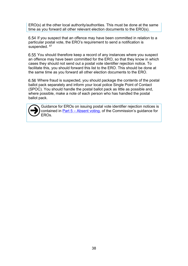ERO(s) at the other local authority/authorities. This must be done at the same time as you forward all other relevant election documents to the ERO(s).

6.54 If you suspect that an offence may have been committed in relation to a particular postal vote, the ERO's requirement to send a notification is suspended. [67](#page-10-19)

6.55 You should therefore keep a record of any instances where you suspect an offence may have been committed for the ERO, so that they know in which cases they should not send out a postal vote identifier rejection notice. To facilitate this, you should forward this list to the ERO. This should be done at the same time as you forward all other election documents to the ERO.

Where fraud is suspected, you should package the contents of the postal ballot pack separately and inform your local police Single Point of Contact (SPOC). You should handle the postal ballot pack as little as possible and, where possible, make a note of each person who has handled the postal ballot pack.



Guidance for EROs on issuing postal vote identifier rejection notices is contained in  $Part 5 - Absent voting$ , of the Commission's guidance for FROs.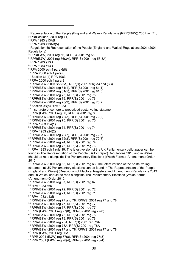Representation of the People (England and Wales) Regulations (RPR(E&W)) 2001 reg 71, RPR(Scotland) 2001 reg 71, RPA 1983 s13AB RPA 1983 s13AB(5) Regulation 56 Representation of the People (England and Wales) Regulations 2001 (2001 Regulations) RPR(E&W) 2001 reg 56, RPR(S) 2001 reg 56 RPR(E&W) 2001 reg 56(3A), RPR(S) 2001 reg 56(3A) RPA 1983 s13B RPA 1983 s13B RPA 2000 sch 4 para 6(8) RPA 2000 sch 4 para 6 Section 61(4) RPA 1983 RPA 2000 sch 4 para 8 RPR(E&W) 2001 s56(3A), RPR(S) 2001 s56(3A) and (3B) RPR(E&W) 2001 reg 81(1), RPR(S) 2001 reg 81(1) RPR(E&W) 2001 reg 81(5), RPR(S) 2001 reg 81(5) RPR(E&W) 2001 reg 75, RPR(S) 2001 reg 75 RPR(E&W) 2001 reg 76, RPR(S) 2001 reg 76 RPR(E&W) 2001 reg 76(2), RPR(S) 2001 reg 76(2) Section 9B(8) RPA 1983 <sup>20</sup> Insert reference here to prescribed postal voting statement RPR (E&W) 2001 reg 80, RPR(S) 2001 reg 80 RPR(E&W) 2001 reg 72(2), RPR(S) 2001 reg 72(2) RPR(E&W) 2001 reg 75, RPR(S) 2001 reg 75 RPA 1983 s24(1) RPR(E&W) 2001 reg 74, RPR(S) 2001 reg 74 RPA 1983 s24(2) RPR(E&W) 2001 reg 72(7), RPR(S) 2001 reg 72(7) RPR(E&W) 2001 reg 72(8), RPR(S) 2001 reg 72(8) RPR(E&W) 2001 reg 74, RPR(S) 2001 reg 74 RPR(E&W) 2001 reg 76, RPR(S) 2001 reg 76 <sup>31</sup> RPA 1983 sch 1 rule 19. The latest version of the UK Parliamentary ballot paper can be found in The Representation of the People (Ballot Paper) Regulations 2015 and in Wales should be read alongside The Parliamentary Elections (Welsh Forms) (Amendment) Order 2015. RPR(E&W) 2001 reg 66, RPR(S) 2001 reg 66. The latest version of the postal voting statement at UK Parliamentary elections can be found in The Representation of the People (England and Wales) (Description of Electoral Registers and Amendment) Regulations 2013 and, in Wales, should be read alongside The Parliamentary Elections (Welsh Forms) (Amendment) Order 2015. RPR(E&W) 2001 reg 67, RPR(S) 2001 reg 67 RPA 1983 s66 RPR(E&W) 2001 reg 72, RPR(S) 2001 reg 72 RPR(E&W) 2001 reg 71, RPR(S) 2001 reg 71 RPA 1983 s13B RPR(E&W) 2001 reg 77 and 78, RPR(S) 2001 reg 77 and 78 RPR(E&W) 2001 reg 77, RPR(S) 2001 reg 77 RPR(E&W) 2001 reg 77, RPR(S) 2001 reg 77 RPR (E&W) 2001 reg 77(8), RPR(S) 2001 reg 77(8) RPR(E&W) 2001 reg 78, RPR(S) 2001 reg 78 RPR(E&W) 2001 reg 78, RPR(S) 2001 reg 78 RPR(E&W) 2001 reg 78A, RPR(S) 2001 reg 78A RPR(E&W) 2001 reg 78A, RPR(S) 2001 reg 78A RPR(E&W) 2001 reg 77 and 78, RPR(S) 2001 reg 77 and 78 RPR (E&W) 2001 reg 86A RPR 2001 (E&W) reg 77(8), RPR(S) 2001 reg 77(8) RPR 2001 (E&W) reg 78(4), RPR(S) 2001 reg 78(4)

-